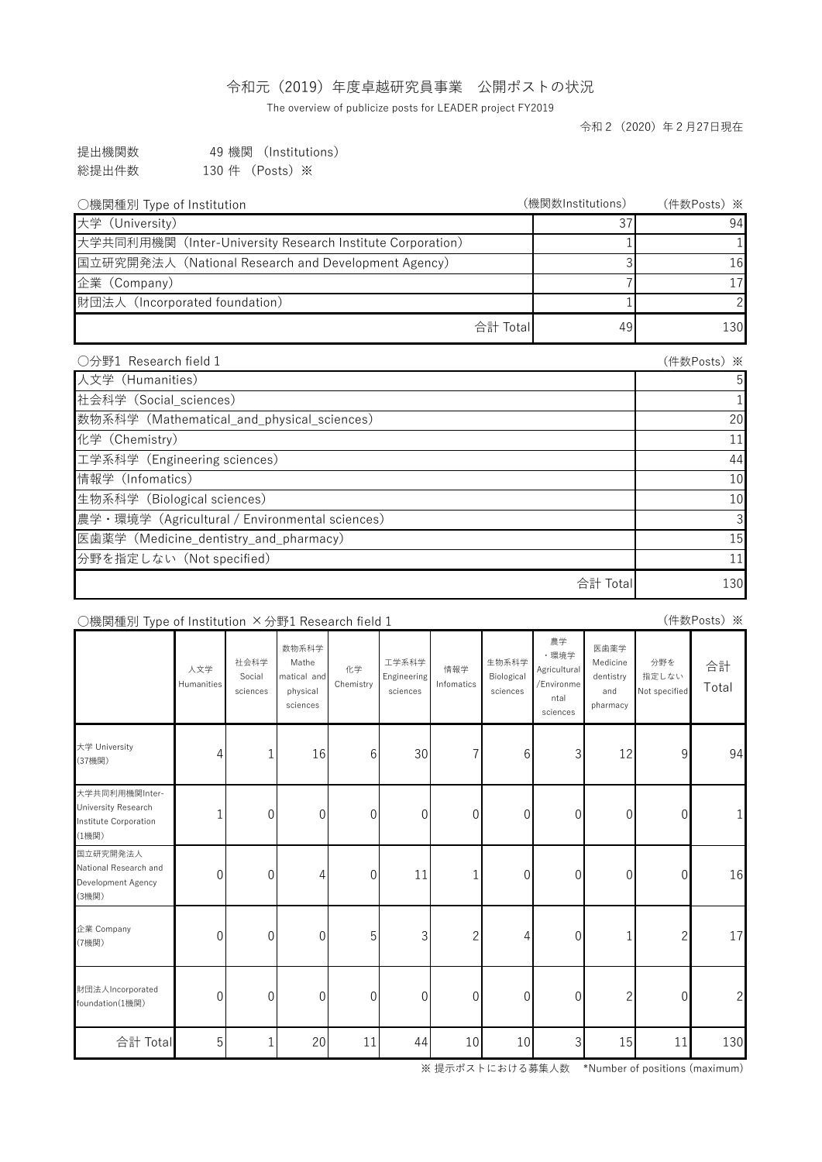## 令和元(2019)年度卓越研究員事業 公開ポストの状況

The overview of publicize posts for LEADER project FY2019

令和2(2020)年2月27日現在

| 提出機関数 |                 | 49 機関 (Institutions) |
|-------|-----------------|----------------------|
| 総提出件数 | 130 件 (Posts) ※ |                      |

| ○機関種別 Type of Institution                                  |          | (機関数Institutions) | (件数Posts) ※ |
|------------------------------------------------------------|----------|-------------------|-------------|
| 大学 (University)                                            |          |                   | 94          |
| 大学共同利用機関 (Inter-University Research Institute Corporation) |          |                   |             |
| 国立研究開発法人 (National Research and Development Agency)        |          |                   | 16          |
| 企業 (Company)                                               |          |                   |             |
| 財団法人 (Incorporated foundation)                             |          |                   |             |
|                                                            | 合計 Total | 49                | 130         |

| ○分野1 Research field 1                            | (件数Posts) ※    |
|--------------------------------------------------|----------------|
| 人文学 (Humanities)                                 | 5 <sub>l</sub> |
| 社会科学 (Social_sciences)                           |                |
| 数物系科学 (Mathematical_and_physical_sciences)       | 20             |
| 化学 (Chemistry)                                   | 11             |
| 工学系科学 (Engineering sciences)                     | 44             |
| 情報学 (Infomatics)                                 | 10             |
| 生物系科学 (Biological sciences)                      | 10             |
| 農学 · 環境学 (Agricultural / Environmental sciences) | 3 <sup>l</sup> |
| 医歯薬学 (Medicine_dentistry_and_pharmacy)           | 15             |
| 分野を指定しない (Not specified)                         | 11             |
| 合計 Total                                         | 130            |

## ○機関種別 Type of Institution ×分野1 Research field 1

| (件数Posts) ※<br>○機関種別 Type of Institution ×分野1 Research field 1          |                   |                            |                                                       |                 |                                  |                   |                                 |                                                              |                                                  |                               |                |  |  |
|-------------------------------------------------------------------------|-------------------|----------------------------|-------------------------------------------------------|-----------------|----------------------------------|-------------------|---------------------------------|--------------------------------------------------------------|--------------------------------------------------|-------------------------------|----------------|--|--|
|                                                                         | 人文学<br>Humanities | 社会科学<br>Social<br>sciences | 数物系科学<br>Mathe<br>matical and<br>physical<br>sciences | 化学<br>Chemistry | 工学系科学<br>Engineering<br>sciences | 情報学<br>Infomatics | 生物系科学<br>Biological<br>sciences | 農学<br>・環境学<br>Agricultural<br>/Environme<br>ntal<br>sciences | 医歯薬学<br>Medicine<br>dentistry<br>and<br>pharmacy | 分野を<br>指定しない<br>Not specified | 合計<br>Total    |  |  |
| 大学 University<br>(37機関)                                                 | 4                 |                            | 16                                                    | 6               | 30                               | 7                 | 6                               | 3                                                            | 12                                               | 9                             | 94             |  |  |
| 大学共同利用機関Inter-<br>University Research<br>Institute Corporation<br>(1機関) |                   | $\overline{0}$             | $\theta$                                              | $\overline{0}$  | $\overline{0}$                   | $\boldsymbol{0}$  | $\theta$                        | $\overline{0}$                                               | $\overline{0}$                                   | $\overline{0}$                |                |  |  |
| 国立研究開発法人<br>National Research and<br>Development Agency<br>(3機関)        | $\overline{0}$    | $\overline{0}$             | 4                                                     | $\overline{0}$  | 11                               | 1                 | $\overline{0}$                  | $\overline{0}$                                               | $\overline{0}$                                   | $\overline{0}$                | 16             |  |  |
| 企業 Company<br>(7機関)                                                     | $\overline{0}$    | $\overline{0}$             | $\theta$                                              | 5               | 3                                | $\overline{2}$    | 4                               | 0                                                            |                                                  | 2                             | 17             |  |  |
| 財団法人Incorporated<br>foundation(1機関)                                     | $\mathbf 0$       | $\overline{0}$             | $\theta$                                              | $\overline{0}$  | 0                                | $\boldsymbol{0}$  | $\theta$                        | 0                                                            | $\overline{2}$                                   | 0                             | $\overline{2}$ |  |  |
| 合計 Total                                                                | 5                 |                            | 20                                                    | 11              | 44                               | 10                | 10                              | 3                                                            | 15                                               | 11                            | 130            |  |  |

※ 提示ポストにおける募集人数 \*Number of positions (maximum)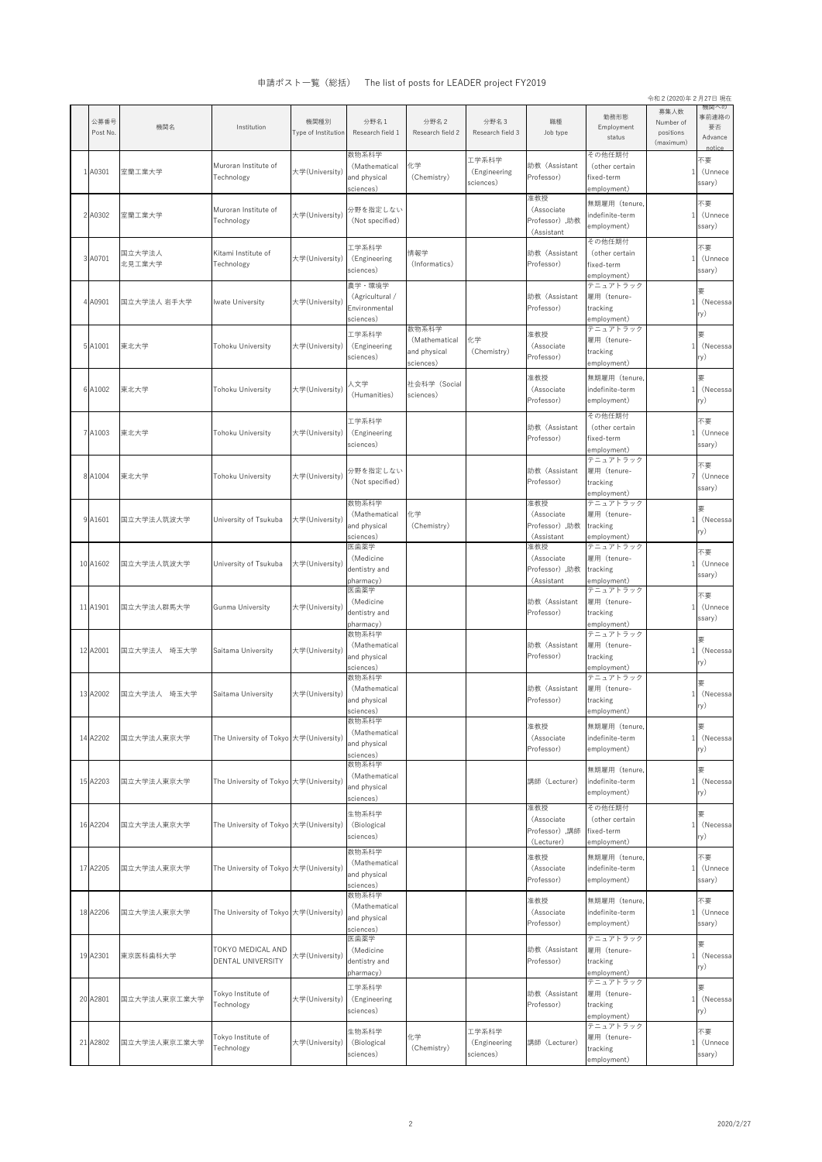|  | 令和 2 (2020)年 2 月27日 現在 |  |  |
|--|------------------------|--|--|
|--|------------------------|--|--|

| 公募番号<br>Post No. | 機関名              | Institution                             | 機関種別<br>Type of Institution | 分野名 1<br>Research field 1                                    | 分野名2<br>Research field 2                            | 分野名3<br>Research field 3           | 職種<br>Job type                                    | 勤務形態<br>Employment<br>status                                      | 募集人数<br>Number of<br>positions<br>(maximum) | 機関への<br>事前連絡の<br>要否<br>Advance<br>notice |
|------------------|------------------|-----------------------------------------|-----------------------------|--------------------------------------------------------------|-----------------------------------------------------|------------------------------------|---------------------------------------------------|-------------------------------------------------------------------|---------------------------------------------|------------------------------------------|
| 1 A0301          | 室蘭工業大学           | Muroran Institute of<br>Technology      | 大学(University)              | 数物系科学<br>(Mathematical<br>and physical<br>sciences)          | 化学<br>(Chemistry)                                   | 工学系科学<br>(Engineering<br>sciences) | 助教 (Assistant<br>Professor)                       | その他任期付<br>(other certain<br>fixed-term<br>employment)             |                                             | 不要<br>(Unnece<br>ssary)                  |
| 2 A0302          | 室蘭工業大学           | Muroran Institute of<br>Technology      | 大学(University)              | 分野を指定しない<br>(Not specified)                                  |                                                     |                                    | 准教授<br>(Associate<br>Professor), 助教<br>(Assistant | 無期雇用 (tenure,<br>indefinite-term<br>employment)                   |                                             | 不要<br>(Unnece<br>ssary)                  |
| 3 A0701          | 国立大学法人<br>北見工業大学 | Kitami Institute of<br>Technology       | 大学(University)              | 工学系科学<br>(Engineering<br>sciences)                           | 情報学<br>(Informatics)                                |                                    | 助教 (Assistant<br>Professor)                       | その他任期付<br>(other certain<br>fixed-term<br>employment)             |                                             | 不要<br>(Unnece<br>ssary)                  |
| 4 A0901          | 国立大学法人 岩手大学      | <b>Iwate University</b>                 | 大学(University)              | 農学・環境学<br>(Agricultural /<br>Environmental<br>sciences)      |                                                     |                                    | 助教 (Assistant<br>Professor)                       | テニュアトラック<br>雇用 (tenure-<br>tracking<br>employment)                |                                             | 要<br>(Necessa)<br>ry)                    |
| 5 A1001          | 東北大学             | <b>Tohoku University</b>                | 大学(University)              | 工学系科学<br>(Engineering<br>sciences)                           | 数物系科学<br>(Mathematical<br>and physical<br>sciences) | 化学<br>(Chemistry)                  | 准教授<br>(Associate<br>Professor)                   | テニュアトラック<br>雇用 (tenure-<br>tracking<br>employment)                |                                             | 要<br>(Necessa<br>ry)                     |
|                  | 6 A1002 東北大学     | Tohoku University  大学(University) 人文学   |                             | (Humanities)                                                 | 社会科学 (Social<br>sciences)                           |                                    | 准教授<br>(Associate<br>Professor)                   | 無期雇用 (tenure,<br>indefinite-term<br>employment)                   |                                             | 要<br>(Necessa<br>ry)                     |
| 7 A1003          | 東北大学             | Tohoku University                       | 大学(University)              | 工学系科学<br>(Engineering<br>sciences)                           |                                                     |                                    | 助教 (Assistant<br>Professor)                       | その他任期付<br>(other certain<br>fixed-term<br>employment)<br>テニュアトラック |                                             | 不要<br>(Unnece<br>ssary)                  |
| 8 A1004          | 東北大学             | <b>Tohoku University</b>                | 大学(University)              | 分野を指定しない<br>(Not specified)<br>数物系科学                         |                                                     |                                    | 助教 (Assistant<br>Professor)<br>准教授                | 雇用 (tenure-<br>tracking<br>employment)<br>テニュアトラック                |                                             | 不要<br>(Unnece<br>ssary)                  |
| 9 A1601          | 国立大学法人筑波大学       | University of Tsukuba                   | 大学(University)              | (Mathematical<br>and physical<br>sciences)<br>医歯薬学           | 化学<br>(Chemistry)                                   |                                    | (Associate<br>Professor),助教<br>(Assistant<br>准教授  | 雇用 (tenure-<br>tracking<br>employment)<br>テニュアトラック                |                                             | 要<br>(Necessa)<br>ry)                    |
| 10 A1602         | 国立大学法人筑波大学       | University of Tsukuba                   | 大学(University)              | (Medicine<br>dentistry and<br>pharmacy)<br>医歯薬学              |                                                     |                                    | (Associate<br>Professor),助教<br>(Assistant         | 雇用 (tenure-<br>tracking<br>employment)<br>テニュアトラック                |                                             | 不要<br>(Unnece<br>ssary)                  |
| 11 A1901         | 国立大学法人群馬大学       | Gunma University                        | 大学(University)              | (Medicine<br>dentistry and<br>pharmacy)<br>数物系科学             |                                                     |                                    | 助教 (Assistant<br>Professor)                       | 雇用 (tenure-<br>tracking<br>employment)<br>テニュアトラック                |                                             | 不要<br>(Unnece<br>ssary)                  |
| 12 A2001         | 国立大学法人 埼玉大学      | Saitama University                      | 大学(University)              | (Mathematical<br>and physical<br>sciences)                   |                                                     |                                    | 助教 (Assistant<br>Professor)                       | 雇用 (tenure-<br>tracking<br>employment)                            |                                             | 要<br>(Necessa)<br>ry)                    |
| 13 A2002         | 国立大学法人 埼玉大学      | Saitama University                      | 大学(University)              | 数物系科学<br>(Mathematical<br>and physical<br>sciences)<br>数物系科学 |                                                     |                                    | 助教 (Assistant<br>Professor)                       | テニュアトラック <br>雇用 (tenure-<br>tracking<br>employment)               |                                             | 要<br>(Necessa)<br>ry)                    |
| 14 A2202         | 国立大学法人東京大学       | The University of Tokyo  大学(University) |                             | (Mathematical<br>and physical<br>sciences)                   |                                                     |                                    | 准教授<br>(Associate<br>Professor)                   | 無期雇用 (tenure,<br>indefinite-term<br>employment)                   |                                             | (Necessa)                                |
| 15 A2203         | 国立大学法人東京大学       | The University of Tokyo 大学(University)  |                             | 数物系科学<br>(Mathematical<br>and physical<br>sciences)          |                                                     |                                    | 講師(Lecturer)<br>准教授                               | 無期雇用 (tenure,<br>indefinite-term<br>employment)<br>その他任期付         |                                             | 要<br>(Necessa                            |
| 16 A2204         | 国立大学法人東京大学       | The University of Tokyo 大学(University)  |                             | 生物系科学<br>(Biological<br>sciences)<br>数物系科学                   |                                                     |                                    | (Associate<br>Professor),講師<br>(Lecturer)         | (other certain<br>fixed-term<br>employment)                       |                                             | (Necessa)                                |
| 17 A2205         | 国立大学法人東京大学       | The University of Tokyo 大学(University)  |                             | (Mathematical<br>and physical<br>sciences)                   |                                                     |                                    | 准教授<br>(Associate<br>Professor)                   | 無期雇用 (tenure,<br>indefinite-term<br>employment)                   |                                             | 不要<br>(Unnece<br>ssary)                  |
| 18 A2206         | 国立大学法人東京大学       | The University of Tokyo 大学(University)  |                             | 数物系科学<br>(Mathematical<br>and physical<br>sciences)          |                                                     |                                    | 准教授<br>(Associate<br>Professor)                   | 無期雇用 (tenure,<br>indefinite-term<br>employment)                   |                                             | 不要<br>(Unnece<br>ssary)                  |
| 19 A2301         | 東京医科歯科大学         | TOKYO MEDICAL AND<br>DENTAL UNIVERSITY  | 大学(University)              | 医歯薬学<br>(Medicine<br>dentistry and<br>pharmacy)              |                                                     |                                    | 助教 (Assistant<br>Professor)                       | テニュアトラック<br>雇用 (tenure-<br>tracking<br>employment)                |                                             | 要<br>(Necessa)<br>ry)                    |
| 20 A2801         | 国立大学法人東京工業大学     | Tokyo Institute of<br>Technology        | 大学(University)              | 工学系科学<br>(Engineering<br>sciences)                           |                                                     |                                    | 助教 (Assistant<br>Professor)                       | テニュアトラック<br>雇用 (tenure-<br>tracking<br>employment)                |                                             | 要<br>(Necessa<br>ry)                     |
| 21 A2802         | 国立大学法人東京工業大学     | Tokyo Institute of<br>Technology        | 大学(University)              | 生物系科学<br>(Biological<br>sciences)                            | 化学<br>(Chemistry)                                   | 工学系科学<br>(Engineering<br>sciences) | 講師(Lecturer)                                      | テニュアトラック<br>雇用 (tenure-<br>tracking<br>employment)                |                                             | 不要<br>(Unnece<br>ssary)                  |

申請ポスト一覧(総括) The list of posts for LEADER project FY2019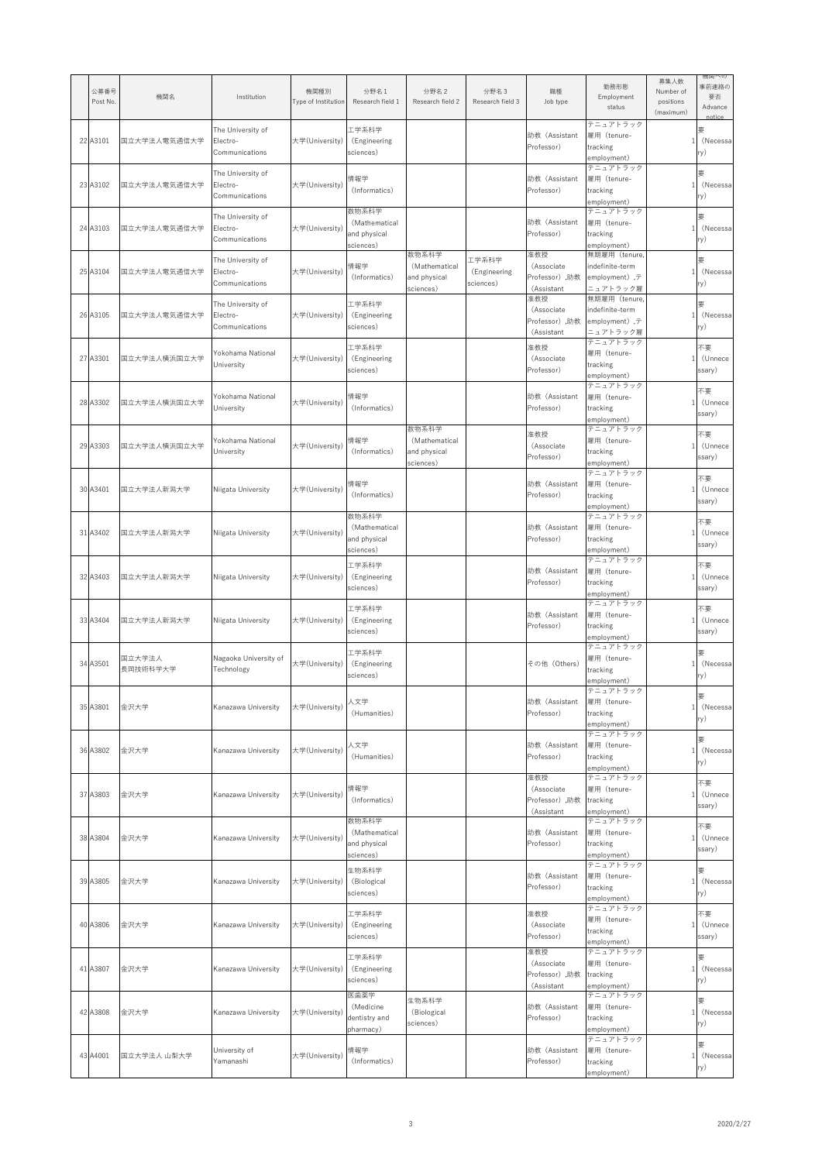| 公募番号<br>Post No. | 機関名                | Institution                                     | 機関種別<br>Type of Institution   | 分野名 1<br>Research field 1                           | 分野名2<br>Research field 2                            | 分野名3<br>Research field 3           | 職種<br>Job type                                    | 勤務形態<br>Employment<br>status                                              | 募集人数<br>Number of<br>positions<br>(maximum) | 機関への<br>事前連絡の<br>要否<br>Advance<br>notice |
|------------------|--------------------|-------------------------------------------------|-------------------------------|-----------------------------------------------------|-----------------------------------------------------|------------------------------------|---------------------------------------------------|---------------------------------------------------------------------------|---------------------------------------------|------------------------------------------|
| 22 A3101         | 国立大学法人電気通信大学       | The University of<br>Electro-<br>Communications | 大学(University)                | 工学系科学<br>(Engineering<br>sciences)                  |                                                     |                                    | 助教 (Assistant<br>Professor)                       | テニュアトラック<br>雇用 (tenure-<br>tracking<br>employment)                        |                                             | 要<br>(Necessa<br>ry)                     |
| 23 A3102         | 国立大学法人電気通信大学       | The University of<br>Electro-<br>Communications | 大学(University)                | 情報学<br>(Informatics)                                |                                                     |                                    | 助教 (Assistant<br>Professor)                       | テニュアトラック<br>雇用 (tenure-<br>tracking<br>employment)                        |                                             | 要<br>(Necessal<br>ry)                    |
| 24 A3103         | 国立大学法人電気通信大学       | The University of<br>Electro-<br>Communications | 大学(University)                | 数物系科学<br>(Mathematical<br>and physical<br>sciences) |                                                     |                                    | 助教 (Assistant<br>Professor)                       | テニュアトラック<br>雇用 (tenure-<br>tracking<br>employment)                        |                                             | 要<br>(Necessa<br>ry)                     |
| 25 A3104         | 国立大学法人電気通信大学       | The University of<br>Electro-<br>Communications | 大学(University)                | 情報学<br>(Informatics)                                | 数物系科学<br>(Mathematical<br>and physical<br>sciences) | 工学系科学<br>(Engineering<br>sciences) | 准教授<br>(Associate<br>Professor), 助教<br>(Assistant | 無期雇用 (tenure,<br>indefinite-term<br>employment), $\bar{\tau}$<br>ニュアトラック雇 |                                             | 要<br>(Necessal<br>ry)                    |
| 26 A3105         | 国立大学法人電気通信大学       | The University of<br>Electro-<br>Communications | 大学(University)                | 工学系科学<br>(Engineering<br>sciences)                  |                                                     |                                    | 准教授<br>(Associate<br>Professor), 助教<br>(Assistant | 無期雇用 (tenure,<br>indefinite-term<br>employment), $\bar{\tau}$<br>ニュアトラック雇 |                                             | 要<br>(Necessa<br>ry)                     |
| 27 A3301         | 国立大学法人横浜国立大学       | Yokohama National<br>University                 | 大学(University)                | 工学系科学<br>(Engineering<br>sciences)                  |                                                     |                                    | 准教授<br>(Associate<br>Professor)                   | テニュアトラック<br>雇用 (tenure-<br>tracking<br>employment)                        |                                             | 不要<br>(Unnece<br>ssary)                  |
| 28 A3302         | 国立大学法人横浜国立大学       | Yokohama National<br>University                 | 大学(University)                | 情報学<br>(Informatics)                                |                                                     |                                    | 助教 (Assistant<br>Professor)                       | テニュアトラック<br>雇用 (tenure-<br>tracking<br>employment)                        |                                             | 不要<br>(Unnece<br>ssary)                  |
| 29 A3303         | 国立大学法人横浜国立大学       | Yokohama National<br>University                 | 大学(University)                | 情報学<br>(Informatics)                                | 数物系科学<br>(Mathematical<br>and physical<br>sciences) |                                    | 准教授<br>(Associate<br>Professor)                   | テニュアトラック<br>雇用 (tenure-<br>tracking<br>employment)                        |                                             | 不要<br>(Unnece<br>ssary)                  |
| 30 A3401         | 国立大学法人新潟大学         | Niigata University                              | 大学(University)                | 情報学<br>(Informatics)                                |                                                     |                                    | 助教 (Assistant<br>Professor)                       | テニュアトラック<br>雇用 (tenure-<br>tracking<br>employment)                        |                                             | 不要<br>(Unnece<br>ssary)                  |
| 31 A3402         | 国立大学法人新潟大学         | Niigata University                              | 大学(University)                | 数物系科学<br>(Mathematical<br>and physical<br>sciences) |                                                     |                                    | 助教 (Assistant<br>Professor)                       | テニュアトラック<br>雇用 (tenure-<br>tracking<br>employment)                        |                                             | 不要<br>(Unnece<br>ssary)                  |
| 32 A3403         | 国立大学法人新潟大学         | Niigata University                              | 大学(University)                | 工学系科学<br>(Engineering<br>sciences)                  |                                                     |                                    | 助教 (Assistant<br>Professor)                       | テニュアトラック<br>雇用 (tenure-<br>tracking<br>employment)                        |                                             | 不要<br>(Unnece<br>ssary)                  |
| 33 A3404         | 国立大学法人新潟大学         | Niigata University                              | 大学(University)                | 工学系科学<br>(Engineering<br>sciences)                  |                                                     |                                    | 助教 (Assistant<br>Professor)                       | テニュアトラック<br>雇用 (tenure-<br>tracking<br>employment)                        |                                             | 不要<br>(Unnece<br>ssary)                  |
| 34 A3501         | 国立大学法人<br>長岡技術科学大学 | Nagaoka University of<br>Technology             | 大学(University)                | 工学系科学<br>(Engineering<br>sciences)                  |                                                     |                                    | その他 (Others)                                      | テニュアトラック<br>雇用 (tenure-<br>tracking<br>employment)                        |                                             | 要<br>(Necessa<br>ry)                     |
| 35 A3801         | 金沢大学               | Kanazawa University                             | 大学(University)                | 人文学<br>(Humanities)                                 |                                                     |                                    | 助教 (Assistant<br>Professor)                       | テニュアトラック<br>雇用 (tenure-<br>tracking<br>employment)                        |                                             | 要<br>(Necessal<br>ry)                    |
| 36 A3802         | 金沢大学               | Kanazawa University                             | 大学(University)                | 人文学<br>(Humanities)                                 |                                                     |                                    | 助教 (Assistant<br>Professor)                       | テニュアトラック<br>雇用 (tenure-<br>tracking<br>employment)                        |                                             | 要<br>(Necessa<br>ry)                     |
| 37 A3803         | 金沢大学               | Kanazawa University                             | 大学(University)                | 情報学<br>(Informatics)                                |                                                     |                                    | 准教授<br>(Associate<br>Professor), 助教<br>(Assistant | テニュアトラック<br>雇用 (tenure-<br>tracking<br>employment)                        |                                             | 不要<br>(Unnece<br>ssary)                  |
| 38 A3804         | 金沢大学               | Kanazawa University                             | 大学(University)                | 数物系科学<br>(Mathematical<br>and physical<br>sciences) |                                                     |                                    | 助教 (Assistant<br>Professor)                       | テニュアトラック<br>雇用 (tenure-<br>tracking<br>employment)                        |                                             | 不要<br>(Unnece<br>ssary)                  |
| 39 A3805         | 金沢大学               | Kanazawa University                             | 大学(University)                | 生物系科学<br>(Biological<br>sciences)                   |                                                     |                                    | 助教 (Assistant<br>Professor)                       | テニュアトラック<br>雇用 (tenure-<br>tracking<br>employment)                        |                                             | 要<br>(Necessa<br>ry)                     |
|                  | 40 A3806 金沢大学      | Kanazawa University                             | 大学(University)   (Engineering | 工学系科学<br>sciences)                                  |                                                     |                                    | 准教授<br>(Associate<br>Professor)                   | テニュアトラック<br>雇用 (tenure-<br>tracking<br>employment)                        |                                             | 不要<br>1 (Unnece<br>ssary)                |
| 41 A3807         | 金沢大学               | Kanazawa University                             | 大学(University)                | 工学系科学<br>(Engineering<br>sciences)                  |                                                     |                                    | 准教授<br>(Associate<br>Professor), 助教<br>(Assistant | テニュアトラック<br>雇用 (tenure-<br>tracking<br>employment)                        |                                             | 要<br>(Necessa<br>ry)                     |
| 42 A3808         | 金沢大学               | Kanazawa University                             | 大学(University)                | 医歯薬学<br>(Medicine<br>dentistry and<br>pharmacy)     | 生物系科学<br>(Biological<br>sciences)                   |                                    | 助教 (Assistant<br>Professor)                       | テニュアトラック<br>雇用 (tenure-<br>tracking<br>employment)                        |                                             | 要<br>(Necessa<br>ry)                     |
| 43 A4001         | 国立大学法人 山梨大学        | University of<br>Yamanashi                      | 大学(University)                | 情報学<br>(Informatics)                                |                                                     |                                    | 助教 (Assistant<br>Professor)                       | テニュアトラック<br>雇用 (tenure-<br>tracking<br>employment)                        |                                             | 要<br>(Necessa<br>ry)                     |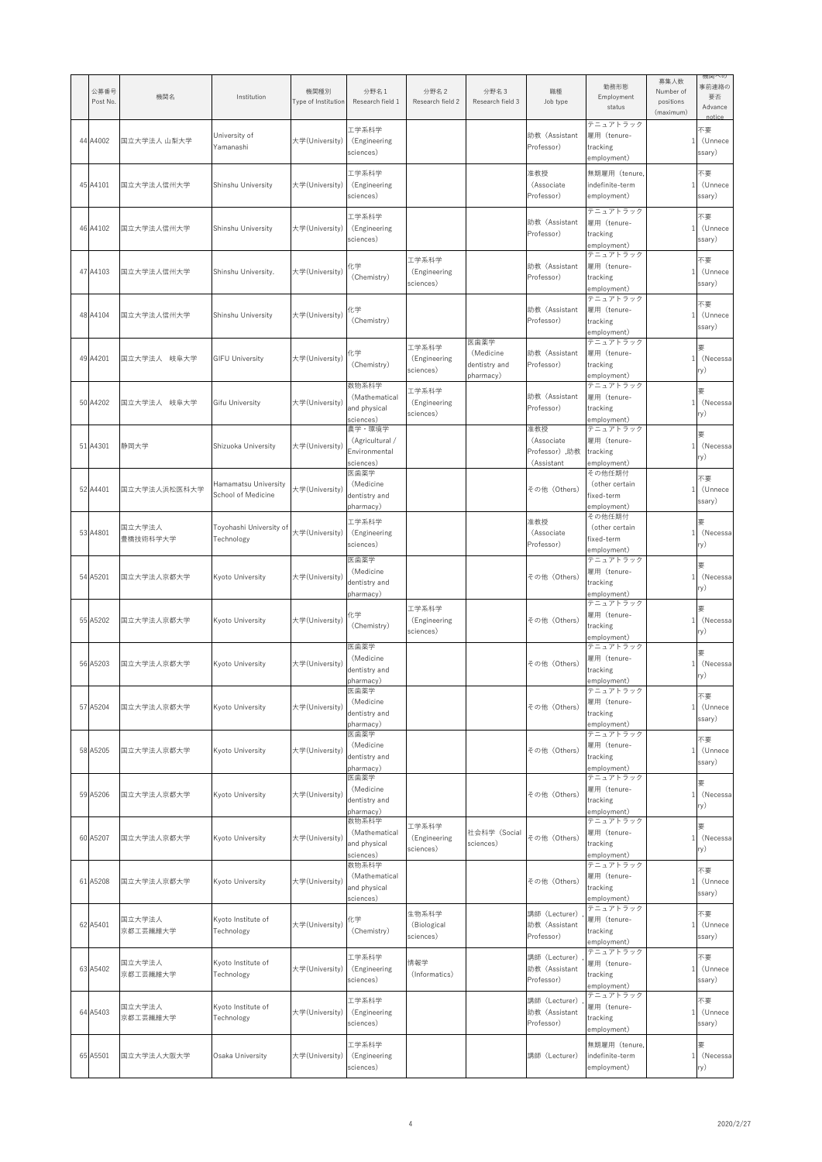| 公募番号<br>Post No. | 機関名                  | Institution                                | 機関種別<br>Type of Institution | 分野名 1<br>Research field 1                                | 分野名2<br>Research field 2           | 分野名3<br>Research field 3                        | 職種<br>Job type                                    | 勤務形態<br>Employment<br>status                                   | 募集人数<br>Number of<br>positions<br>(maximum) | 機関への<br>事前連絡の<br>要否<br>Advance<br>notice |
|------------------|----------------------|--------------------------------------------|-----------------------------|----------------------------------------------------------|------------------------------------|-------------------------------------------------|---------------------------------------------------|----------------------------------------------------------------|---------------------------------------------|------------------------------------------|
| 44 A4002         | 国立大学法人 山梨大学          | University of<br>Yamanashi                 | 大学(University)              | 工学系科学<br>(Engineering<br>sciences)                       |                                    |                                                 | 助教 (Assistant<br>Professor)                       | テニュアトラック<br>雇用 (tenure-<br>tracking<br>employment)             |                                             | 不要<br>(Unnece<br>ssary)                  |
| 45 A4101         | 国立大学法人信州大学           | Shinshu University                         | 大学(University)              | 工学系科学<br>(Engineering<br>sciences)                       |                                    |                                                 | 准教授<br>(Associate<br>Professor)                   | 無期雇用 (tenure,<br>indefinite-term<br>employment)                |                                             | 不要<br>(Unnece<br>ssary)                  |
| 46 A4102         | 国立大学法人信州大学           | Shinshu University                         | 大学(University)              | 工学系科学<br>(Engineering<br>sciences)                       |                                    |                                                 | 助教 (Assistant<br>Professor)                       | テニュアトラック<br>雇用 (tenure-<br>tracking<br>employment)             |                                             | 不要<br>(Unnece<br>ssary)                  |
| 47 A4103         | 国立大学法人信州大学           | Shinshu University.                        | 大学(University)              | 化学<br>(Chemistry)                                        | 工学系科学<br>(Engineering<br>sciences) |                                                 | 助教 (Assistant<br>Professor)                       | テニュアトラック<br>雇用 (tenure-<br>tracking<br>employment)             |                                             | 不要<br>(Unnece<br>ssary)                  |
| 48 A4104         | 国立大学法人信州大学           | Shinshu University                         | 大学(University)              | 化学<br>(Chemistry)                                        |                                    |                                                 | 助教 (Assistant<br>Professor)                       | テニュアトラック<br>雇用 (tenure-<br>tracking<br>employment)             |                                             | 不要<br>(Unnece<br>ssary)                  |
|                  | 49 A4201 国立大学法人 岐阜大学 | <b>GIFU University</b>                     | 大学(University) 化学           | (Chemistry)                                              | 工学系科学<br>(Engineering<br>sciences) | 医歯薬学<br>(Medicine<br>dentistry and<br>pharmacy) | 助教 (Assistant<br>Professor)                       | テニュアトラック<br>雇用 (tenure-<br>tracking<br>employment)             |                                             | 要<br>(Necessa)<br>ry)                    |
| 50 A4202         | 国立大学法人 岐阜大学          | <b>Gifu University</b>                     | 大学(University)              | 数物系科学<br>(Mathematical<br>and physical<br>sciences)      | 工学系科学<br>(Engineering<br>sciences) |                                                 | 助教 (Assistant<br>Professor)                       | テニュアトラック<br>雇用 (tenure-<br>tracking<br>employment)             |                                             | 要<br>(Necessal<br>ry)                    |
| 51 A4301         | 静岡大学                 | Shizuoka University                        | 大学(University)              | 農学・環境学<br>(Agricultural /<br>Environmental<br>sciences)  |                                    |                                                 | 准教授<br>(Associate<br>Professor), 助教<br>(Assistant | テニュアトラック<br>雇用 (tenure-<br>tracking<br>employment)             |                                             | 要<br>(Necessa<br>ry)                     |
| 52 A4401         | 国立大学法人浜松医科大学         | Hamamatsu University<br>School of Medicine | 大学(University)              | 医歯薬学<br>(Medicine<br>dentistry and<br>pharmacy)          |                                    |                                                 | その他 (Others)                                      | その他任期付<br>(other certain<br>fixed-term<br>employment)          |                                             | 不要<br>(Unnece<br>ssary)                  |
| 53 A4801         | 国立大学法人<br>豊橋技術科学大学   | Toyohashi University of<br>Technology      | 大学(University)              | 工学系科学<br>(Engineering<br>sciences)                       |                                    |                                                 | 准教授<br>(Associate<br>Professor)                   | その他任期付<br>(other certain<br>fixed-term<br>employment)          |                                             | 要<br>(Necessa<br>ry)                     |
| 54 A5201         | 国立大学法人京都大学           | Kyoto University                           | 大学(University)              | 医歯薬学<br>(Medicine<br>dentistry and<br>pharmacy)          |                                    |                                                 | その他 (Others)                                      | テニュアトラック<br>雇用 (tenure-<br>tracking<br>employment)             |                                             | 要<br>(Necessa<br>ry)                     |
| 55 A5202         | 国立大学法人京都大学           | Kyoto University                           | 大学(University)              | 化学<br>(Chemistry)                                        | 工学系科学<br>(Engineering<br>sciences) |                                                 | その他 (Others)                                      | テニュアトラック<br>雇用 (tenure-<br>tracking<br>employment)             |                                             | 要<br>(Necessa<br>ry)                     |
| 56 A5203         | 国立大学法人京都大学           | Kyoto University                           | 大学(University)              | 医歯薬学<br>(Medicine<br>dentistry and<br>pharmacy)          |                                    |                                                 | その他 (Others)                                      | テニュアトラック<br>雇用 (tenure-<br>tracking<br>employment)             |                                             | 要<br>(Necessa<br>ry)                     |
| 57 A5204         | 国立大学法人京都大学           | Kyoto University                           | 大学(University)              | 医歯薬学<br>(Medicine<br>dentistry and<br>pharmacy)          |                                    |                                                 | その他 (Others)                                      | テニュアトラック<br>雇用 (tenure-<br>tracking<br>employment)             |                                             | 不要<br>(Unnece<br>ssary)                  |
| 58 A5205         | 国立大学法人京都大学           | Kyoto University                           | 大学(University)              | 医歯薬学<br>(Medicine<br>dentistry and<br>pharmacy)          |                                    |                                                 | その他 (Others)                                      | テニュアトラック<br>雇用 (tenure-<br>tracking<br>employment)             |                                             | 不要<br>(Unnece<br>ssary)                  |
| 59 A5206         | 国立大学法人京都大学           | Kyoto University                           | 大学(University)              | 医歯薬学<br>(Medicine<br>dentistry and<br>pharmacy)<br>数物系科学 |                                    |                                                 | その他 (Others)                                      | テニュアトラック<br>雇用 (tenure-<br>tracking<br>employment)<br>テニュアトラック |                                             | 要<br>(Necessal<br>ry)                    |
| 60 A5207         | 国立大学法人京都大学           | Kyoto University                           | 大学(University)              | (Mathematical<br>and physical<br>sciences)<br>数物系科学      | 工学系科学<br>(Engineering<br>sciences) | 社会科学 (Social<br>sciences)                       | その他 (Others)                                      | 雇用 (tenure-<br>tracking<br>employment)<br>テニュアトラック             |                                             | 要<br>(Necessa<br>ry)                     |
| 61 A5208         | 国立大学法人京都大学           | Kyoto University                           | 大学(University)              | (Mathematical<br>and physical<br>sciences)               |                                    |                                                 | その他 (Others)                                      | 雇用 (tenure-<br>tracking<br>employment)<br>テニュアトラック             |                                             | 不要<br>(Unnece<br>ssary)                  |
| 62 A5401         | 国立大学法人<br>京都工芸繊維大学   | Kyoto Institute of<br>Technology           | 大学(University)              | 化学<br>(Chemistry)                                        | 生物系科学<br>(Biological<br>sciences)  |                                                 | 講師 (Lecturer)<br>助教 (Assistant<br>Professor)      | 雇用 (tenure-<br>tracking<br>employment)<br>テニュアトラック             |                                             | 不要<br>(Unnece<br>ssary)                  |
| 63 A5402         | 国立大学法人<br>京都工芸繊維大学   | Kyoto Institute of<br>Technology           | 大学(University)              | 工学系科学<br>(Engineering<br>sciences)                       | 情報学<br>(Informatics)               |                                                 | 講師 (Lecturer)<br>助教 (Assistant<br>Professor)      | 雇用 (tenure-<br>tracking<br>employment)<br>テニュアトラック             |                                             | 不要<br>(Unnece<br>ssary)                  |
| 64 A5403         | 国立大学法人<br>京都工芸繊維大学   | Kyoto Institute of<br>Technology           | 大学(University)              | 工学系科学<br>(Engineering<br>sciences)                       |                                    |                                                 | 講師 (Lecturer)<br>助教 (Assistant<br>Professor)      | 雇用 (tenure-<br>tracking<br>employment)                         |                                             | 不要<br>(Unnece<br>ssary)                  |
| 65 A5501         | 国立大学法人大阪大学           | Osaka University                           | 大学(University)              | 工学系科学<br>(Engineering<br>sciences)                       |                                    |                                                 | 講師 (Lecturer)                                     | 無期雇用 (tenure,<br>indefinite-term<br>employment)                |                                             | 要<br>(Necessa<br>ry)                     |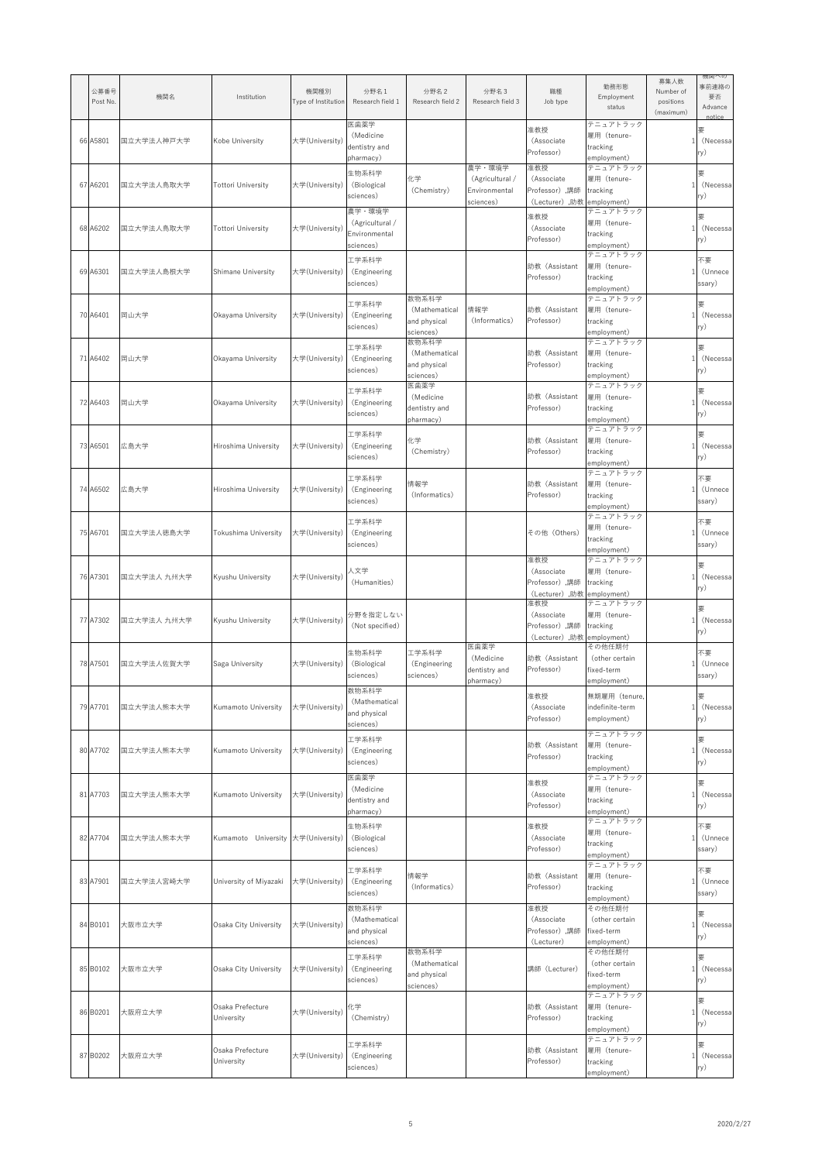| 公募番号<br>Post No. | 機関名              | Institution                        | 機関種別<br>Type of Institution | 分野名 1<br>Research field 1                               | 分野名2<br>Research field 2                            | 分野名3<br>Research field 3                                | 職種<br>Job type                                                    | 勤務形態<br>Employment<br>status                          | 募集人数<br>Number of<br>positions<br>(maximum) | 機関への<br>事前連絡の<br>要否<br>Advance<br>notice |
|------------------|------------------|------------------------------------|-----------------------------|---------------------------------------------------------|-----------------------------------------------------|---------------------------------------------------------|-------------------------------------------------------------------|-------------------------------------------------------|---------------------------------------------|------------------------------------------|
| 66 A5801         | 国立大学法人神戸大学       | Kobe University                    | 大学(University)              | 医歯薬学<br>(Medicine<br>dentistry and<br>pharmacy)         |                                                     |                                                         | 准教授<br>(Associate<br>Professor)                                   | テニュアトラック<br>雇用 (tenure-<br>tracking<br>employment)    |                                             | 要<br>(Necessa<br>ry)                     |
| 67 A6201         | 国立大学法人鳥取大学       | <b>Tottori University</b>          | 大学(University)              | 生物系科学<br>(Biological<br>sciences)                       | 化学<br>(Chemistry)                                   | 農学・環境学<br>(Agricultural /<br>Environmental<br>sciences) | 准教授<br>(Associate<br>Professor),講師<br>(Lecturer), 助教 employment)  | テニュアトラック<br>雇用 (tenure-<br>tracking                   |                                             | 要<br>(Necessa<br>ry)                     |
| 68 A6202         | 国立大学法人鳥取大学       | <b>Tottori University</b>          | 大学(University)              | 農学・環境学<br>(Agricultural /<br>Environmental<br>sciences) |                                                     |                                                         | 准教授<br>(Associate<br>Professor)                                   | テニュアトラック<br>雇用 (tenure-<br>tracking<br>employment)    |                                             | 要<br>(Necessa<br>ry)                     |
| 69 A6301         | 国立大学法人島根大学       | <b>Shimane University</b>          | 大学(University)              | 工学系科学<br>(Engineering<br>sciences)                      |                                                     |                                                         | 助教 (Assistant<br>Professor)                                       | テニュアトラック<br>雇用 (tenure-<br>tracking<br>employment)    |                                             | 不要<br>(Unnece<br>ssary)                  |
| 70 A6401         | 岡山大学             | Okayama University                 | 大学(University)              | 工学系科学<br>(Engineering<br>sciences)                      | 数物系科学<br>(Mathematical<br>and physical<br>sciences) | 情報学<br>(Informatics)                                    | 助教 (Assistant<br>Professor)                                       | テニュアトラック<br>雇用 (tenure-<br>tracking<br>employment)    |                                             | 要<br>(Necessa<br>ry)                     |
|                  | 71 A6402 岡山大学    | Okayama University                 | 大学(University)              | 工学系科学<br>(Engineering<br>sciences)                      | 数物系科学<br>(Mathematical<br>and physical<br>sciences) |                                                         | 助教 (Assistant<br>Professor)                                       | テニュアトラック<br>雇用 (tenure-<br>tracking<br>employment)    |                                             | 要<br>(Necessa)<br>ry)                    |
| 72 A6403         | 岡山大学             | Okayama University                 | 大学(University)              | 工学系科学<br>(Engineering<br>sciences)                      | 医歯薬学<br>(Medicine<br>dentistry and<br>pharmacy)     |                                                         | 助教 (Assistant<br>Professor)                                       | テニュアトラック<br>雇用 (tenure-<br>tracking<br>employment)    |                                             | 要<br>(Necessal<br>ry)                    |
| 73 A6501         | 広島大学             | Hiroshima University               | 大学(University)              | 工学系科学<br>(Engineering<br>sciences)                      | 化学<br>(Chemistry)                                   |                                                         | 助教 (Assistant<br>Professor)                                       | テニュアトラック<br>雇用 (tenure-<br>tracking<br>employment)    |                                             | 要<br>(Necessa<br>ry)                     |
| 74 A6502         | 広島大学             | Hiroshima University               | 大学(University)              | 工学系科学<br>(Engineering<br>sciences)                      | 情報学<br>(Informatics)                                |                                                         | 助教 (Assistant<br>Professor)                                       | テニュアトラック<br>雇用 (tenure-<br>tracking<br>employment)    |                                             | 不要<br>(Unnece<br>ssary)                  |
| 75 A6701         | 国立大学法人徳島大学       | Tokushima University               | 大学(University)              | 工学系科学<br>(Engineering<br>sciences)                      |                                                     |                                                         | その他 (Others)                                                      | テニュアトラック<br>雇用 (tenure-<br>tracking<br>employment)    |                                             | 不要<br>(Unnece<br>ssary)                  |
| 76 A7301         | 国立大学法人 九州大学      | Kyushu University                  | 大学(University)              | 人文学<br>(Humanities)                                     |                                                     |                                                         | 准教授<br>(Associate<br>Professor) ,講師<br>(Lecturer), 助教 employment) | テニュアトラック<br>雇用 (tenure-<br>tracking                   |                                             | 要<br>(Necessa<br>ry)                     |
| 77 A7302         | 国立大学法人 九州大学      | Kyushu University                  | 大学(University)              | 分野を指定しない<br>(Not specified)                             |                                                     |                                                         | 准教授<br>(Associate<br>Professor) ,講師<br>(Lecturer), 助教 employment) | テニュアトラック<br>雇用 (tenure-<br>tracking                   |                                             | 要<br>(Necessa<br>ry)                     |
| 78 A7501         | 国立大学法人佐賀大学       | Saga University                    | 大学(University)              | 生物系科学<br>(Biological<br>sciences)                       | 工学系科学<br>(Engineering<br>sciences)                  | 医歯薬学<br>(Medicine<br>dentistry and<br>pharmacy)         | 助教 (Assistant<br>Professor)                                       | その他任期付<br>(other certain<br>fixed-term<br>employment) |                                             | 不要<br>(Unnece<br>ssary)                  |
| 79 A7701         | 国立大学法人熊本大学       | Kumamoto University                | 大学(University)              | 数物系科学<br>(Mathematical<br>and physical<br>sciences)     |                                                     |                                                         | 准教授<br>(Associate<br>Professor)                                   | 無期雇用 (tenure,<br>indefinite-term<br>employment)       |                                             | 要<br>(Necessa<br>ry)                     |
| 80 A7702         | 国立大学法人熊本大学       | Kumamoto University                | 大学(University)              | 工学系科学<br>(Engineering<br>sciences)                      |                                                     |                                                         | 助教 (Assistant<br>Professor)                                       | テニュアトラック<br>雇用 (tenure-<br>tracking<br>employment)    |                                             | 要<br>(Necessa<br>ry)                     |
| 81 A7703         | 国立大学法人熊本大学       | Kumamoto University                | 大学(University)              | 医歯薬学<br>(Medicine<br>dentistry and<br>pharmacy)         |                                                     |                                                         | 准教授<br>(Associate<br>Professor)                                   | テニュアトラック<br>雇用 (tenure-<br>tracking<br>employment)    |                                             | 要<br>(Necessal<br>ry)                    |
| 82 A7704         | 国立大学法人熊本大学       | Kumamoto University 大学(University) |                             | 生物系科学<br>(Biological<br>sciences)                       |                                                     |                                                         | 准教授<br>(Associate<br>Professor)                                   | テニュアトラック<br>雇用 (tenure-<br>tracking<br>employment)    |                                             | 不要<br>(Unnece<br>ssary)                  |
| 83 A7901         | 国立大学法人宮崎大学       | University of Miyazaki             | 大学(University)              | 工学系科学<br>(Engineering<br>sciences)                      | 情報学<br>(Informatics)                                |                                                         | 助教 (Assistant<br>Professor)                                       | テニュアトラック<br>雇用 (tenure-<br>tracking<br>employment)    |                                             | 不要<br>(Unnece<br>ssary)                  |
|                  | 84 B0101  大阪市立大学 | Osaka City University              | 大学(University)              | 数物系科学<br>(Mathematical<br>and physical<br>sciences)     |                                                     |                                                         | 准教授<br>(Associate<br>Professor) ,講師   fixed-term<br>(Lecturer)    | その他任期付<br>(other certain<br>employment)               |                                             | 要<br>(Necessa<br>ry)                     |
| 85 B0102         | 大阪市立大学           | Osaka City University              | 大学(University)              | 工学系科学<br>(Engineering<br>sciences)                      | 数物系科学<br>(Mathematical<br>and physical<br>sciences) |                                                         | 講師 (Lecturer)                                                     | その他任期付<br>(other certain<br>fixed-term<br>employment) |                                             | 要<br>(Necessal<br>ry)                    |
| 86 B0201         | 大阪府立大学           | Osaka Prefecture<br>University     | 大学(University)              | 化学<br>(Chemistry)                                       |                                                     |                                                         | 助教 (Assistant<br>Professor)                                       | テニュアトラック<br>雇用 (tenure-<br>tracking<br>employment)    |                                             | 要<br>(Necessa<br>ry)                     |
| 87 B0202         | 大阪府立大学           | Osaka Prefecture<br>University     | 大学(University)              | 工学系科学<br>(Engineering<br>sciences)                      |                                                     |                                                         | 助教 (Assistant<br>Professor)                                       | テニュアトラック<br>雇用 (tenure-<br>tracking<br>employment)    |                                             | 要<br>(Necessa<br>ry)                     |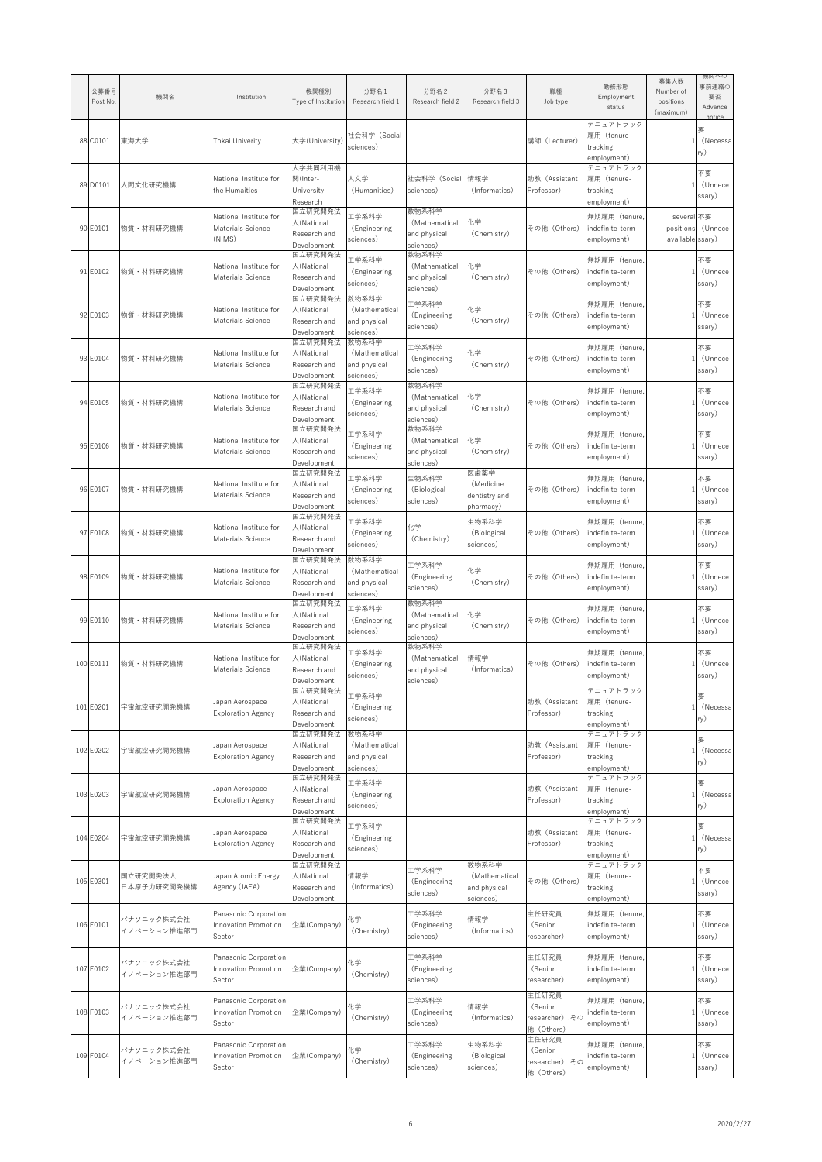| 公募番号<br>Post No. | 機関名                       | Institution                                                  | 機関種別<br>Type of Institution                                     | 分野名1<br>Research field                              | 分野名2<br>Research field 2                                     | 分野名3<br>Research field 3                   | 職種<br>Job type                                    | 勤務形態<br>Employment<br>status                                | 募集人数<br>Number of<br>positions<br>(maximum) | 機関への<br>事前連絡の<br>要否<br>Advance<br>notice |
|------------------|---------------------------|--------------------------------------------------------------|-----------------------------------------------------------------|-----------------------------------------------------|--------------------------------------------------------------|--------------------------------------------|---------------------------------------------------|-------------------------------------------------------------|---------------------------------------------|------------------------------------------|
| 88 C0101         | 東海大学                      | <b>Tokai Univerity</b>                                       | 大学(University)                                                  | 社会科学 (Social<br>sciences)                           |                                                              |                                            | 講師 (Lecturer)                                     | テニュアトラック<br>雇用 (tenure-<br>tracking<br>employment)          |                                             | 要<br>(Necessa<br>ry)                     |
| 89 D0101         | 人間文化研究機構                  | National Institute for<br>the Humaities                      | 大学共同利用機<br>関(Inter-<br>University<br>Research                   | 人文学<br>(Humanities)                                 | 社会科学 (Social<br>sciences)                                    | 情報学<br>(Informatics)                       | 助教 (Assistant<br>Professor)                       | テニュアトラック<br>雇用 (tenure-<br>tracking<br>employment)          |                                             | 不要<br>(Unnece<br>ssary)                  |
| 90 E0101         | 物質·材料研究機構                 | National Institute for<br><b>Materials Science</b><br>(NIMS) | 国立研究開発法<br>人(National<br>Research and<br>Development            | 工学系科学<br>(Engineering<br>sciences)                  | 数物系科学<br>(Mathematical<br>and physical<br>sciences)          | 化学<br>(Chemistry)                          | その他 (Others)                                      | 無期雇用 (tenure,<br>indefinite-term<br>employment)             | several 不要<br>available ssary)              | positions (Unnece                        |
| 91 E0102         | 物質·材料研究機構                 | National Institute for<br><b>Materials Science</b>           | 国立研究開発法<br>人(National<br>Research and<br>Development            | 工学系科学<br>(Engineering<br>sciences)                  | 数物系科学<br>(Mathematical<br>and physical<br>sciences)          | 化学<br>(Chemistry)                          | その他 (Others)                                      | 無期雇用 (tenure,<br>indefinite-term<br>employment)             |                                             | 不要<br>(Unnece<br>ssary)                  |
| 92 E0103         | 物質·材料研究機構                 | National Institute for<br><b>Materials Science</b>           | 国立研究開発法<br>人(National<br>Research and<br>Development            | 数物系科学<br>(Mathematical<br>and physical<br>sciences) | 工学系科学<br>(Engineering<br>sciences)                           | 化学<br>(Chemistry)                          | その他 (Others)                                      | 無期雇用 (tenure,<br>indefinite-term<br>employment)             |                                             | 不要<br>(Unnece<br>ssary)                  |
| 93 E0104         | 物質·材料研究機構                 | National Institute for<br><b>Materials Science</b>           | 国立研究開発法<br>人(National<br>Research and<br>Development            | 数物系科学<br>(Mathematical<br>and physical<br>sciences) | 工学系科学<br>(Engineering<br>sciences)                           | 化学<br>(Chemistry)                          | その他 (Others)                                      | 無期雇用 (tenure,<br>indefinite-term<br>employment)             |                                             | 不要<br>(Unnece<br>ssary)                  |
| 94 E0105         | 物質·材料研究機構                 | National Institute for<br><b>Materials Science</b>           | 国立研究開発法<br>人(National<br>Research and<br>Development            | 工学系科学<br>(Engineering<br>sciences)                  | 数物系科学<br>(Mathematical<br>and physical<br>sciences)<br>数物系科学 | 化学<br>(Chemistry)                          | その他 (Others)                                      | 無期雇用 (tenure,<br>indefinite-term<br>employment)             |                                             | 不要<br>(Unnece<br>ssary)                  |
| 95 E0106         | 物質·材料研究機構                 | National Institute for<br><b>Materials Science</b>           | 国立研究開発法<br>人(National<br>Research and<br>Development            | 工学系科学<br>(Engineering<br>sciences)                  | (Mathematical<br>and physical<br>sciences)                   | 化学<br>(Chemistry)<br>医歯薬学                  | その他 (Others)                                      | 無期雇用 (tenure,<br>indefinite-term<br>employment)             |                                             | 不要<br>(Unnece<br>ssary)                  |
| 96 E0107         | 物質·材料研究機構                 | National Institute for<br><b>Materials Science</b>           | 国立研究開発法<br>人(National<br>Research and<br>Development            | 工学系科学<br>(Engineering<br>sciences)                  | 生物系科学<br>(Biological<br>sciences)                            | (Medicine<br>dentistry and<br>pharmacy)    | その他 (Others)                                      | 無期雇用 (tenure,<br>indefinite-term<br>employment)             |                                             | 不要<br>(Unnece<br>ssary)                  |
| 97 E0108         | 物質·材料研究機構                 | National Institute for<br><b>Materials Science</b>           | 国立研究開発法<br>人(National<br>Research and<br>Development<br>国立研究開発法 | 工学系科学<br>(Engineering<br>sciences)<br>数物系科学         | 化学<br>(Chemistry)                                            | 生物系科学<br>(Biological<br>sciences)          | その他 (Others)                                      | 無期雇用 (tenure,<br>indefinite-term<br>employment)             |                                             | 不要<br>(Unnece<br>ssary)                  |
| 98 E0109         | 物質·材料研究機構                 | National Institute for<br><b>Materials Science</b>           | 人(National<br>Research and<br>Development<br>国立研究開発法            | (Mathematical<br>and physical<br>sciences)          | 工学系科学<br>(Engineering<br>sciences)<br>数物系科学                  | 化学<br>(Chemistry)                          | その他 (Others)                                      | 無期雇用 (tenure,<br>indefinite-term<br>employment)             |                                             | 不要<br>(Unnece<br>ssary)                  |
| 99 E0110         | 物質·材料研究機構                 | National Institute for<br><b>Materials Science</b>           | 人(National<br>Research and<br>Development<br>国立研究開発法            | 工学系科学<br>(Engineering<br>sciences)                  | (Mathematical<br>and physical<br>sciences)<br>数物系科学          | 化学<br>(Chemistry)                          | その他 (Others)                                      | 無期雇用 (tenure,<br>indefinite-term<br>employment)             |                                             | 不要<br>(Unnece<br>ssary)                  |
| 100 E0111        | 物質·材料研究機構                 | National Institute for<br><b>Materials Science</b>           | 人(National<br>Research and<br>Development<br>国立研究開発法            | 工学系科学<br>(Engineering<br>sciences)                  | (Mathematical<br>and physical<br>sciences)                   | 情報学<br>(Informatics)                       | その他 (Others)                                      | 無期雇用 (tenure,<br>indefinite-term<br>employment)<br>テニュアトラック |                                             | 不要<br>(Unnece<br>ssary)                  |
| 101 E0201        | 宇宙航空研究開発機構                | Japan Aerospace<br><b>Exploration Agency</b>                 | 人(National<br>Research and<br>Development<br>国立研究開発法            | 工学系科学<br>(Engineering<br>sciences)<br>数物系科学         |                                                              |                                            | 助教 (Assistant<br>Professor)                       | 雇用 (tenure-<br>tracking<br>employment)<br>テニュアトラック          |                                             | 要<br>(Necessa<br>ry)                     |
| 102 E0202        | 宇宙航空研究開発機構                | Japan Aerospace<br><b>Exploration Agency</b>                 | 人(National<br>Research and<br>Development<br>国立研究開発法            | (Mathematical<br>and physical<br>sciences)          |                                                              |                                            | 助教 (Assistant<br>Professor)                       | 雇用 (tenure-<br>tracking<br>employment)<br>テニュアトラック          |                                             | 要<br>(Necessal<br>ry)                    |
| 103 E0203        | 宇宙航空研究開発機構                | Japan Aerospace<br><b>Exploration Agency</b>                 | 人(National<br>Research and<br>Development<br>国立研究開発法            | 工学系科学<br>(Engineering<br>sciences)                  |                                                              |                                            | 助教 (Assistant<br>Professor)                       | 雇用 (tenure-<br>tracking<br>employment)<br>テニュアトラック          |                                             | 要<br>(Necessal<br>$ry$ )                 |
| 104 E0204        | 宇宙航空研究開発機構                | Japan Aerospace<br><b>Exploration Agency</b>                 | 人(National<br>Research and<br>Development<br>国立研究開発法            | 工学系科学<br>(Engineering<br>sciences)                  |                                                              | 数物系科学                                      | 助教 (Assistant<br>Professor)                       | 雇用 (tenure-<br>tracking<br>employment)<br>テニュアトラック          |                                             | 要<br>(Necessa<br>ry)                     |
| 105 E0301        | 国立研究開発法人<br>日本原子力研究開発機構   | Japan Atomic Energy<br>Agency (JAEA)                         | 人(National<br>Research and<br>Development                       | 情報学<br>(Informatics)                                | 工学系科学<br>(Engineering<br>sciences)                           | (Mathematical<br>and physical<br>sciences) | その他 (Others)                                      | 雇用 (tenure-<br>tracking<br>employment)                      |                                             | 不要<br>(Unnece<br>ssary)                  |
| 106 F0101        | パナソニック株式会社<br>イノベーション推進部門 | Panasonic Corporation<br>Innovation Promotion<br>Sector      | 企業(Company)                                                     | 化学<br>(Chemistry)                                   | 工学系科学<br>(Engineering<br>sciences)                           | 情報学<br>(Informatics)                       | 主任研究員<br>(Senior<br>researcher)                   | 無期雇用 (tenure,<br>indefinite-term<br>employment)             |                                             | 不要<br>1 (Unnece<br>ssary)                |
| 107 F0102        | パナソニック株式会社<br>イノベーション推進部門 | Panasonic Corporation<br>Innovation Promotion<br>Sector      | 企業(Company)                                                     | 化学<br>(Chemistry)                                   | 工学系科学<br>(Engineering<br>sciences)                           |                                            | 主任研究員<br>(Senior<br>researcher)<br>主任研究員          | 無期雇用 (tenure,<br>indefinite-term<br>employment)             |                                             | 不要<br>(Unnece<br>ssary)                  |
| 108 F0103        | パナソニック株式会社<br>イノベーション推進部門 | Panasonic Corporation<br>Innovation Promotion<br>Sector      | 企業(Company)                                                     | 化学<br>(Chemistry)                                   | 工学系科学<br>(Engineering<br>sciences)                           | 情報学<br>(Informatics)                       | (Senior<br>researcher) ,その<br>他 (Others)          | 無期雇用 (tenure,<br>indefinite-term<br>employment)             |                                             | 不要<br>(Unnece<br>ssary)                  |
| 109 F0104        | パナソニック株式会社<br>イノベーション推進部門 | Panasonic Corporation<br>Innovation Promotion<br>Sector      | 企業(Company)                                                     | 化学<br>(Chemistry)                                   | 工学系科学<br>(Engineering<br>sciences)                           | 生物系科学<br>(Biological<br>sciences)          | 主任研究員<br>(Senior<br>researcher) ,その<br>他 (Others) | 無期雇用 (tenure,<br>indefinite-term<br>employment)             |                                             | 不要<br>(Unnece<br>ssary)                  |